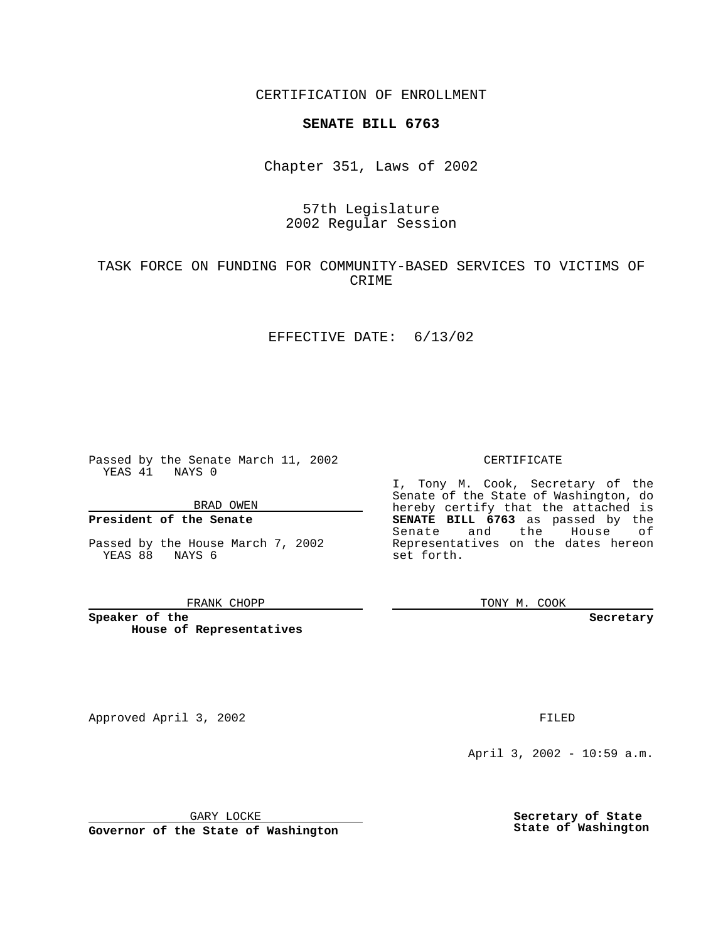CERTIFICATION OF ENROLLMENT

## **SENATE BILL 6763**

Chapter 351, Laws of 2002

## 57th Legislature 2002 Regular Session

## TASK FORCE ON FUNDING FOR COMMUNITY-BASED SERVICES TO VICTIMS OF CRIME

#### EFFECTIVE DATE: 6/13/02

Passed by the Senate March 11, 2002 YEAS 41 NAYS 0

BRAD OWEN

### **President of the Senate**

Passed by the House March 7, 2002 YEAS 88 NAYS 6

#### FRANK CHOPP

**Speaker of the House of Representatives**

Approved April 3, 2002 **FILED** 

April 3, 2002 - 10:59 a.m.

GARY LOCKE

**Governor of the State of Washington**

**Secretary of State State of Washington**

#### CERTIFICATE

I, Tony M. Cook, Secretary of the Senate of the State of Washington, do hereby certify that the attached is **SENATE BILL 6763** as passed by the Senate and the House of Representatives on the dates hereon set forth.

TONY M. COOK

**Secretary**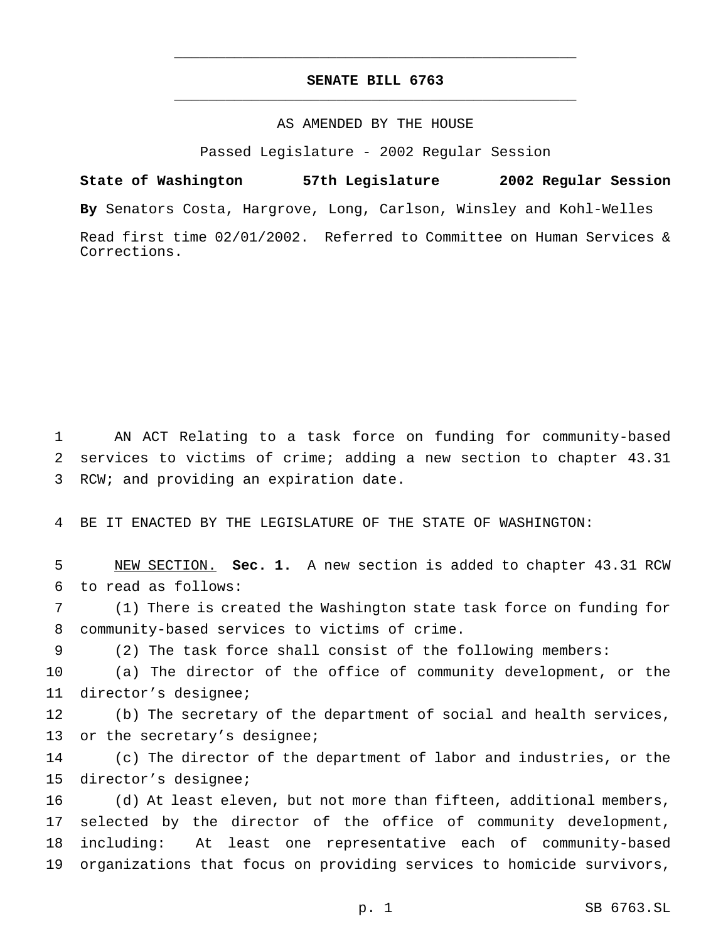# **SENATE BILL 6763** \_\_\_\_\_\_\_\_\_\_\_\_\_\_\_\_\_\_\_\_\_\_\_\_\_\_\_\_\_\_\_\_\_\_\_\_\_\_\_\_\_\_\_\_\_\_\_

\_\_\_\_\_\_\_\_\_\_\_\_\_\_\_\_\_\_\_\_\_\_\_\_\_\_\_\_\_\_\_\_\_\_\_\_\_\_\_\_\_\_\_\_\_\_\_

### AS AMENDED BY THE HOUSE

Passed Legislature - 2002 Regular Session

**State of Washington 57th Legislature 2002 Regular Session By** Senators Costa, Hargrove, Long, Carlson, Winsley and Kohl-Welles Read first time 02/01/2002. Referred to Committee on Human Services & Corrections.

 AN ACT Relating to a task force on funding for community-based services to victims of crime; adding a new section to chapter 43.31 RCW; and providing an expiration date.

BE IT ENACTED BY THE LEGISLATURE OF THE STATE OF WASHINGTON:

 NEW SECTION. **Sec. 1.** A new section is added to chapter 43.31 RCW to read as follows:

 (1) There is created the Washington state task force on funding for community-based services to victims of crime.

(2) The task force shall consist of the following members:

 (a) The director of the office of community development, or the director's designee;

 (b) The secretary of the department of social and health services, or the secretary's designee;

 (c) The director of the department of labor and industries, or the director's designee;

 (d) At least eleven, but not more than fifteen, additional members, selected by the director of the office of community development, including: At least one representative each of community-based organizations that focus on providing services to homicide survivors,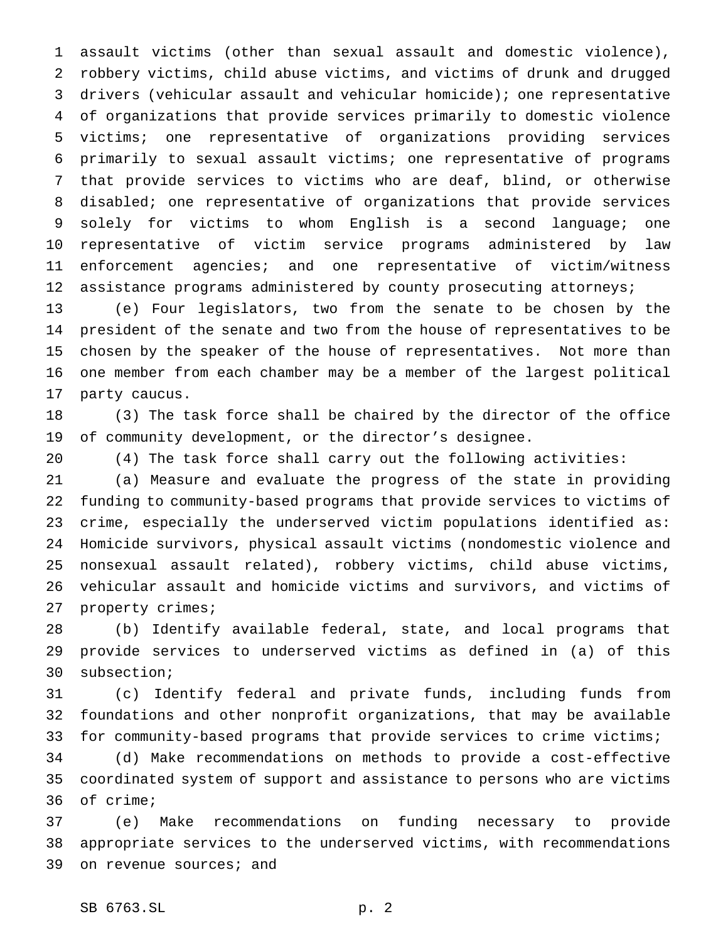assault victims (other than sexual assault and domestic violence), robbery victims, child abuse victims, and victims of drunk and drugged drivers (vehicular assault and vehicular homicide); one representative of organizations that provide services primarily to domestic violence victims; one representative of organizations providing services primarily to sexual assault victims; one representative of programs that provide services to victims who are deaf, blind, or otherwise disabled; one representative of organizations that provide services solely for victims to whom English is a second language; one representative of victim service programs administered by law enforcement agencies; and one representative of victim/witness 12 assistance programs administered by county prosecuting attorneys;

 (e) Four legislators, two from the senate to be chosen by the president of the senate and two from the house of representatives to be chosen by the speaker of the house of representatives. Not more than one member from each chamber may be a member of the largest political party caucus.

 (3) The task force shall be chaired by the director of the office of community development, or the director's designee.

(4) The task force shall carry out the following activities:

 (a) Measure and evaluate the progress of the state in providing funding to community-based programs that provide services to victims of crime, especially the underserved victim populations identified as: Homicide survivors, physical assault victims (nondomestic violence and nonsexual assault related), robbery victims, child abuse victims, vehicular assault and homicide victims and survivors, and victims of property crimes;

 (b) Identify available federal, state, and local programs that provide services to underserved victims as defined in (a) of this subsection;

 (c) Identify federal and private funds, including funds from foundations and other nonprofit organizations, that may be available for community-based programs that provide services to crime victims;

 (d) Make recommendations on methods to provide a cost-effective coordinated system of support and assistance to persons who are victims of crime;

 (e) Make recommendations on funding necessary to provide appropriate services to the underserved victims, with recommendations on revenue sources; and